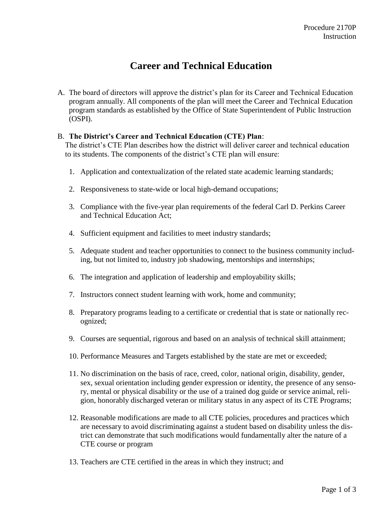# **Career and Technical Education**

A. The board of directors will approve the district's plan for its Career and Technical Education program annually. All components of the plan will meet the Career and Technical Education program standards as established by the Office of State Superintendent of Public Instruction (OSPI).

## B. **The District's Career and Technical Education (CTE) Plan**:

The district's CTE Plan describes how the district will deliver career and technical education to its students. The components of the district's CTE plan will ensure:

- 1. Application and contextualization of the related state academic learning standards;
- 2. Responsiveness to state-wide or local high-demand occupations;
- 3. Compliance with the five-year plan requirements of the federal Carl D. Perkins Career and Technical Education Act;
- 4. Sufficient equipment and facilities to meet industry standards;
- 5. Adequate student and teacher opportunities to connect to the business community including, but not limited to, industry job shadowing, mentorships and internships;
- 6. The integration and application of leadership and employability skills;
- 7. Instructors connect student learning with work, home and community;
- 8. Preparatory programs leading to a certificate or credential that is state or nationally recognized;
- 9. Courses are sequential, rigorous and based on an analysis of technical skill attainment;
- 10. Performance Measures and Targets established by the state are met or exceeded;
- 11. No discrimination on the basis of race, creed, color, national origin, disability, gender, sex, sexual orientation including gender expression or identity, the presence of any sensory, mental or physical disability or the use of a trained dog guide or service animal, religion, honorably discharged veteran or military status in any aspect of its CTE Programs;
- 12. Reasonable modifications are made to all CTE policies, procedures and practices which are necessary to avoid discriminating against a student based on disability unless the district can demonstrate that such modifications would fundamentally alter the nature of a CTE course or program
- 13. Teachers are CTE certified in the areas in which they instruct; and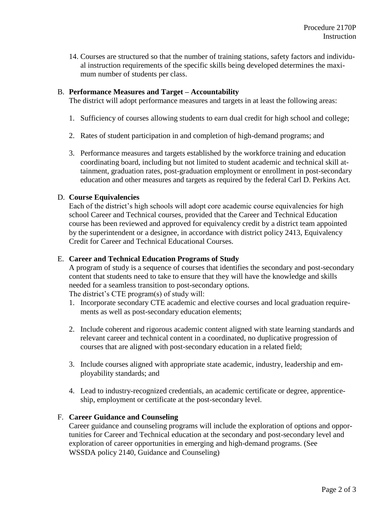14. Courses are structured so that the number of training stations, safety factors and individual instruction requirements of the specific skills being developed determines the maximum number of students per class.

## B. **Performance Measures and Target – Accountability**

The district will adopt performance measures and targets in at least the following areas:

- 1. Sufficiency of courses allowing students to earn dual credit for high school and college;
- 2. Rates of student participation in and completion of high-demand programs; and
- 3. Performance measures and targets established by the workforce training and education coordinating board, including but not limited to student academic and technical skill attainment, graduation rates, post-graduation employment or enrollment in post-secondary education and other measures and targets as required by the federal Carl D. Perkins Act.

# D. **Course Equivalencies**

Each of the district's high schools will adopt core academic course equivalencies for high school Career and Technical courses, provided that the Career and Technical Education course has been reviewed and approved for equivalency credit by a district team appointed by the superintendent or a designee, in accordance with [district policy 2413, Equivalency](http://www.boarddocs.com/wa/wssda/Board.nsf/goto?open&id=8U6PL2648963)  [Credit for Career and Technical Educational Courses.](http://www.boarddocs.com/wa/wssda/Board.nsf/goto?open&id=8U6PL2648963)

## E. **Career and Technical Education Programs of Study**

A program of study is a sequence of courses that identifies the secondary and post-secondary content that students need to take to ensure that they will have the knowledge and skills needed for a seamless transition to post-secondary options.

The district's CTE program(s) of study will:

- 1. Incorporate secondary CTE academic and elective courses and local graduation requirements as well as post-secondary education elements;
- 2. Include coherent and rigorous academic content aligned with state learning standards and relevant career and technical content in a coordinated, no duplicative progression of courses that are aligned with post-secondary education in a related field;
- 3. Include courses aligned with appropriate state academic, industry, leadership and employability standards; and
- 4. Lead to industry-recognized credentials, an academic certificate or degree, apprenticeship, employment or certificate at the post-secondary level.

## F. **Career Guidance and Counseling**

Career guidance and counseling programs will include the exploration of options and opportunities for Career and Technical education at the secondary and post-secondary level and exploration of career opportunities in emerging and high-demand programs. (See WSSDA [policy 2140, Guidance and Counseling\)](http://www.boarddocs.com/wa/wssda/Board.nsf/goto?open&id=8U6P6C6201ED)